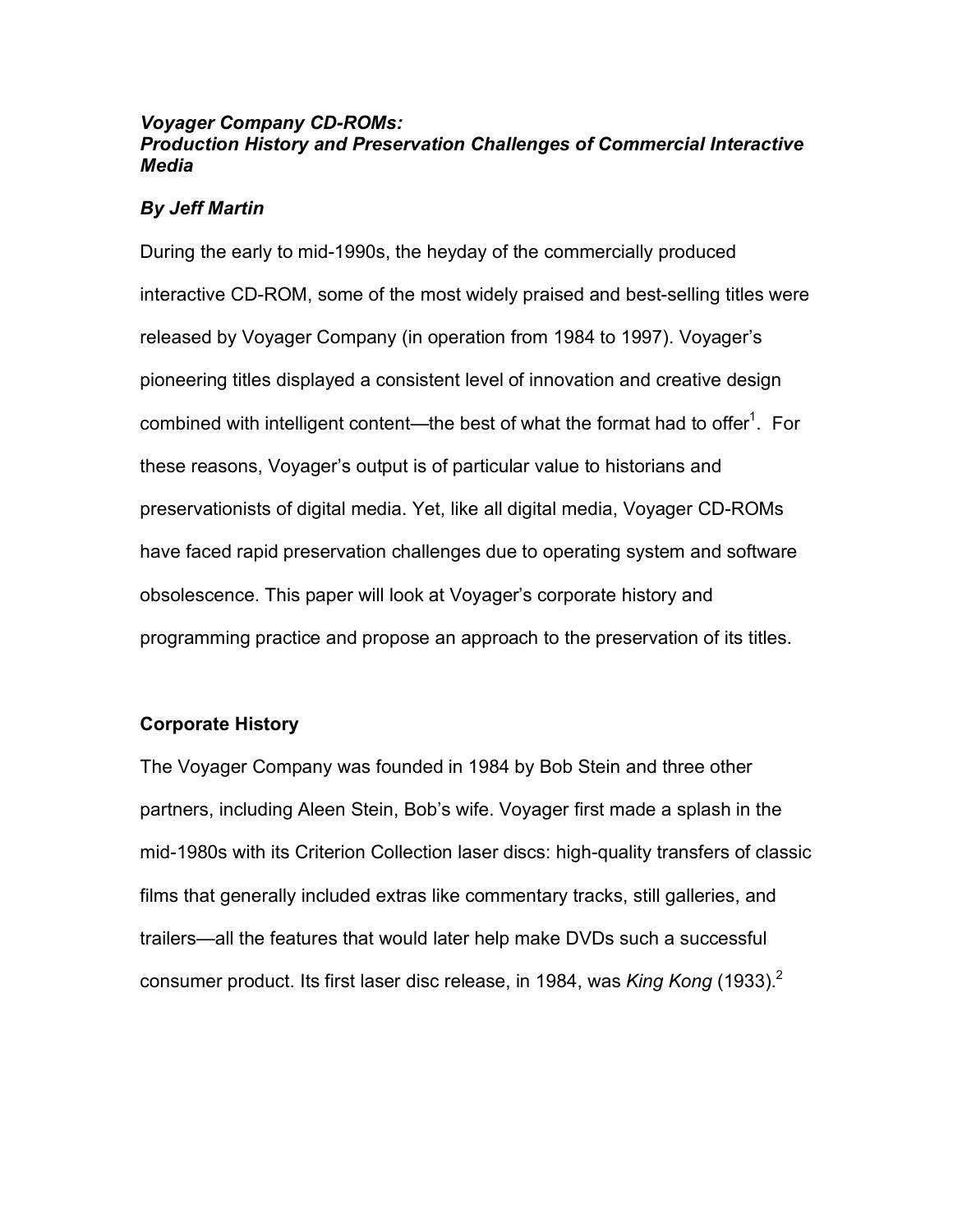## *Voyager Company CD-ROMs: Production History and Preservation Challenges of Commercial Interactive Media*

## *By Jeff Martin*

During the early to mid-1990s, the heyday of the commercially produced interactive CD-ROM, some of the most widely praised and best-selling titles were released by Voyager Company (in operation from 1984 to 1997). Voyager's pioneering titles displayed a consistent level of innovation and creative design combined with intelligent content—the best of what the format had to offer<sup>1</sup>. For these reasons, Voyager's output is of particular value to historians and preservationists of digital media. Yet, like all digital media, Voyager CD-ROMs have faced rapid preservation challenges due to operating system and software obsolescence. This paper will look at Voyager's corporate history and programming practice and propose an approach to the preservation of its titles.

## **Corporate History**

The Voyager Company was founded in 1984 by Bob Stein and three other partners, including Aleen Stein, Bob's wife. Voyager first made a splash in the mid-1980s with its Criterion Collection laser discs: high-quality transfers of classic films that generally included extras like commentary tracks, still galleries, and trailers—all the features that would later help make DVDs such a successful consumer product. Its first laser disc release, in 1984, was *King Kong* (1933). 2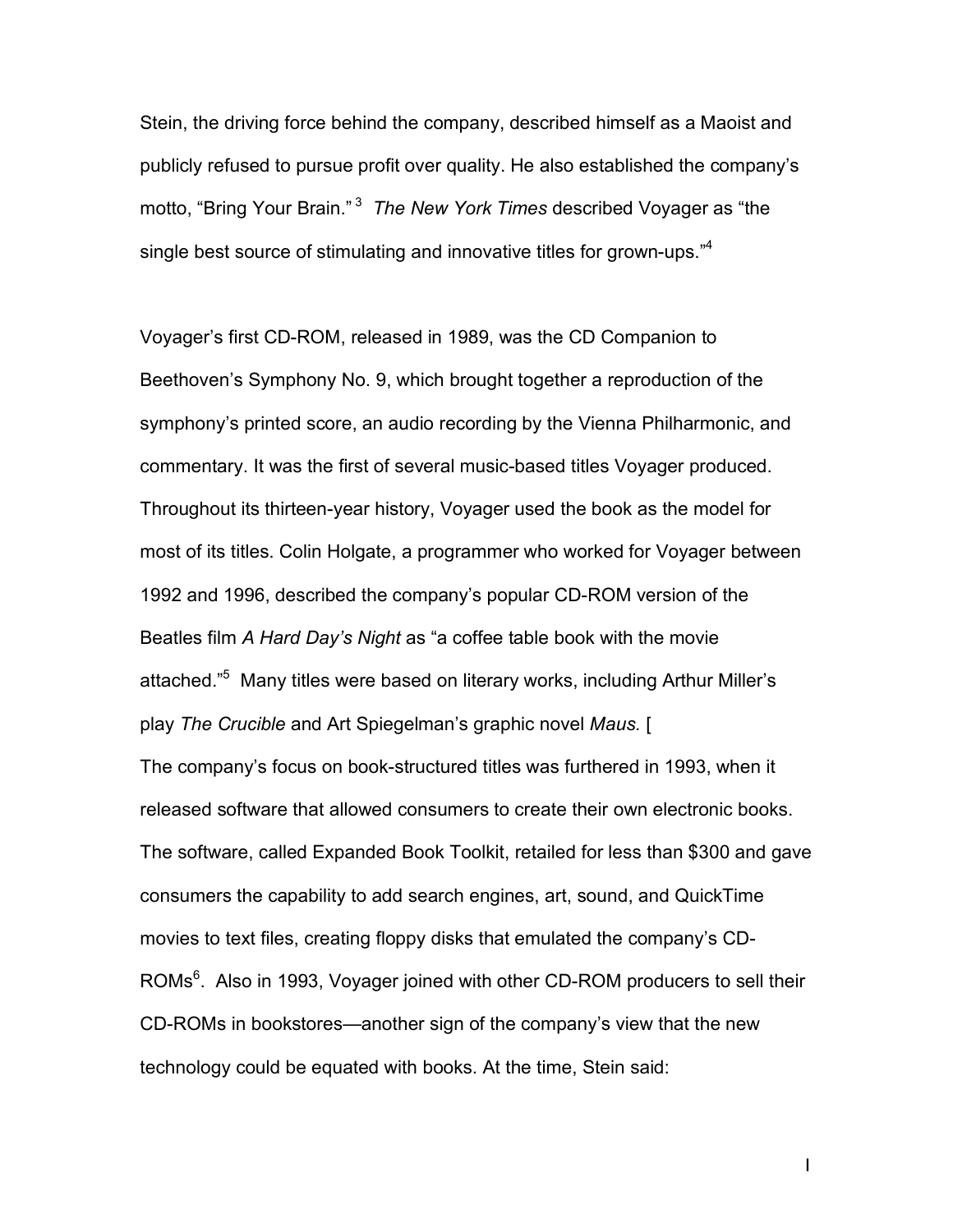Stein, the driving force behind the company, described himself as a Maoist and publicly refused to pursue profit over quality. He also established the company's motto, "Bring Your Brain." <sup>3</sup> *The New York Times* described Voyager as "the single best source of stimulating and innovative titles for grown-ups."<sup>4</sup>

Voyager's first CD-ROM, released in 1989, was the CD Companion to Beethoven's Symphony No. 9, which brought together a reproduction of the symphony's printed score, an audio recording by the Vienna Philharmonic, and commentary. It was the first of several music-based titles Voyager produced. Throughout its thirteen-year history, Voyager used the book as the model for most of its titles. Colin Holgate, a programmer who worked for Voyager between 1992 and 1996, described the company's popular CD-ROM version of the Beatles film *A Hard Day's Night* as "a coffee table book with the movie attached." <sup>5</sup> Many titles were based on literary works, including Arthur Miller's play *The Crucible* and Art Spiegelman's graphic novel *Maus.* [ The company's focus on book-structured titles was furthered in 1993, when it released software that allowed consumers to create their own electronic books. The software, called Expanded Book Toolkit, retailed for less than \$300 and gave consumers the capability to add search engines, art, sound, and QuickTime movies to text files, creating floppy disks that emulated the company's CD-ROMs<sup>6</sup>. Also in 1993, Voyager joined with other CD-ROM producers to sell their CD-ROMs in bookstores—another sign of the company's view that the new technology could be equated with books. At the time, Stein said: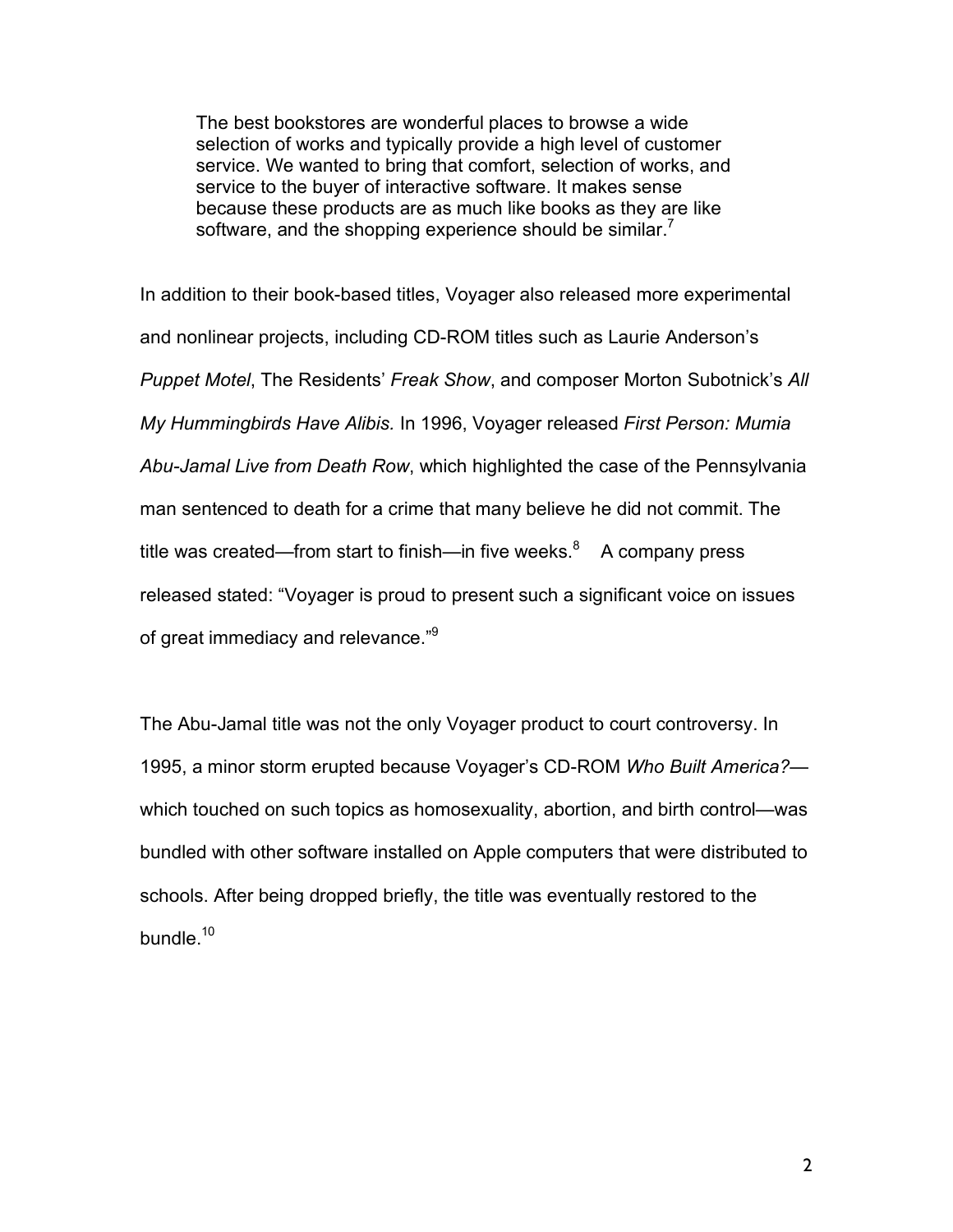The best bookstores are wonderful places to browse a wide selection of works and typically provide a high level of customer service. We wanted to bring that comfort, selection of works, and service to the buyer of interactive software. It makes sense because these products are as much like books as they are like software, and the shopping experience should be similar.<sup>7</sup>

In addition to their book-based titles, Voyager also released more experimental and nonlinear projects, including CD-ROM titles such as Laurie Anderson's *Puppet Motel*, The Residents' *Freak Show*, and composer Morton Subotnick's *All My Hummingbirds Have Alibis.* In 1996, Voyager released *First Person: Mumia Abu-Jamal Live from Death Row*, which highlighted the case of the Pennsylvania man sentenced to death for a crime that many believe he did not commit. The title was created—from start to finish—in five weeks. $8$  A company press released stated: "Voyager is proud to present such a significant voice on issues of great immediacy and relevance."<sup>9</sup>

The Abu-Jamal title was not the only Voyager product to court controversy. In 1995, a minor storm erupted because Voyager's CD-ROM *Who Built America?* which touched on such topics as homosexuality, abortion, and birth control—was bundled with other software installed on Apple computers that were distributed to schools. After being dropped briefly, the title was eventually restored to the bundle.<sup>10</sup>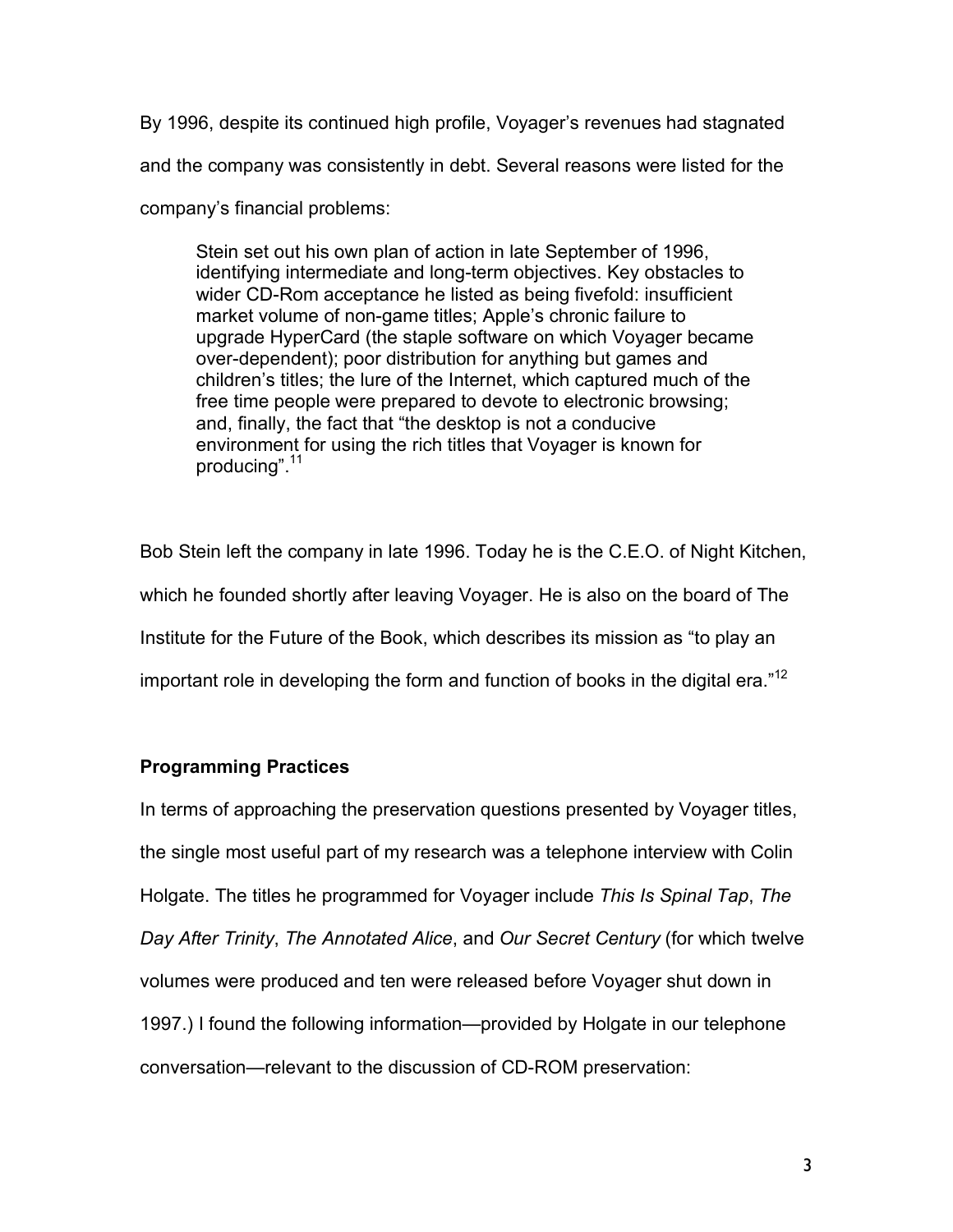By 1996, despite its continued high profile, Voyager's revenues had stagnated and the company was consistently in debt. Several reasons were listed for the company's financial problems:

Stein set out his own plan of action in late September of 1996, identifying intermediate and long-term objectives. Key obstacles to wider CD-Rom acceptance he listed as being fivefold: insufficient market volume of non-game titles; Apple's chronic failure to upgrade HyperCard (the staple software on which Voyager became over-dependent); poor distribution for anything but games and children's titles; the lure of the Internet, which captured much of the free time people were prepared to devote to electronic browsing; and, finally, the fact that "the desktop is not a conducive environment for using the rich titles that Voyager is known for producing".<sup>11</sup>

Bob Stein left the company in late 1996. Today he is the C.E.O. of Night Kitchen, which he founded shortly after leaving Voyager. He is also on the board of The Institute for the Future of the Book, which describes its mission as "to play an important role in developing the form and function of books in the digital era."<sup>12</sup>

## **Programming Practices**

In terms of approaching the preservation questions presented by Voyager titles, the single most useful part of my research was a telephone interview with Colin Holgate. The titles he programmed for Voyager include *This Is Spinal Tap*, *The Day After Trinity*, *The Annotated Alice*, and *Our Secret Century* (for which twelve volumes were produced and ten were released before Voyager shut down in 1997.) I found the following information—provided by Holgate in our telephone conversation—relevant to the discussion of CD-ROM preservation: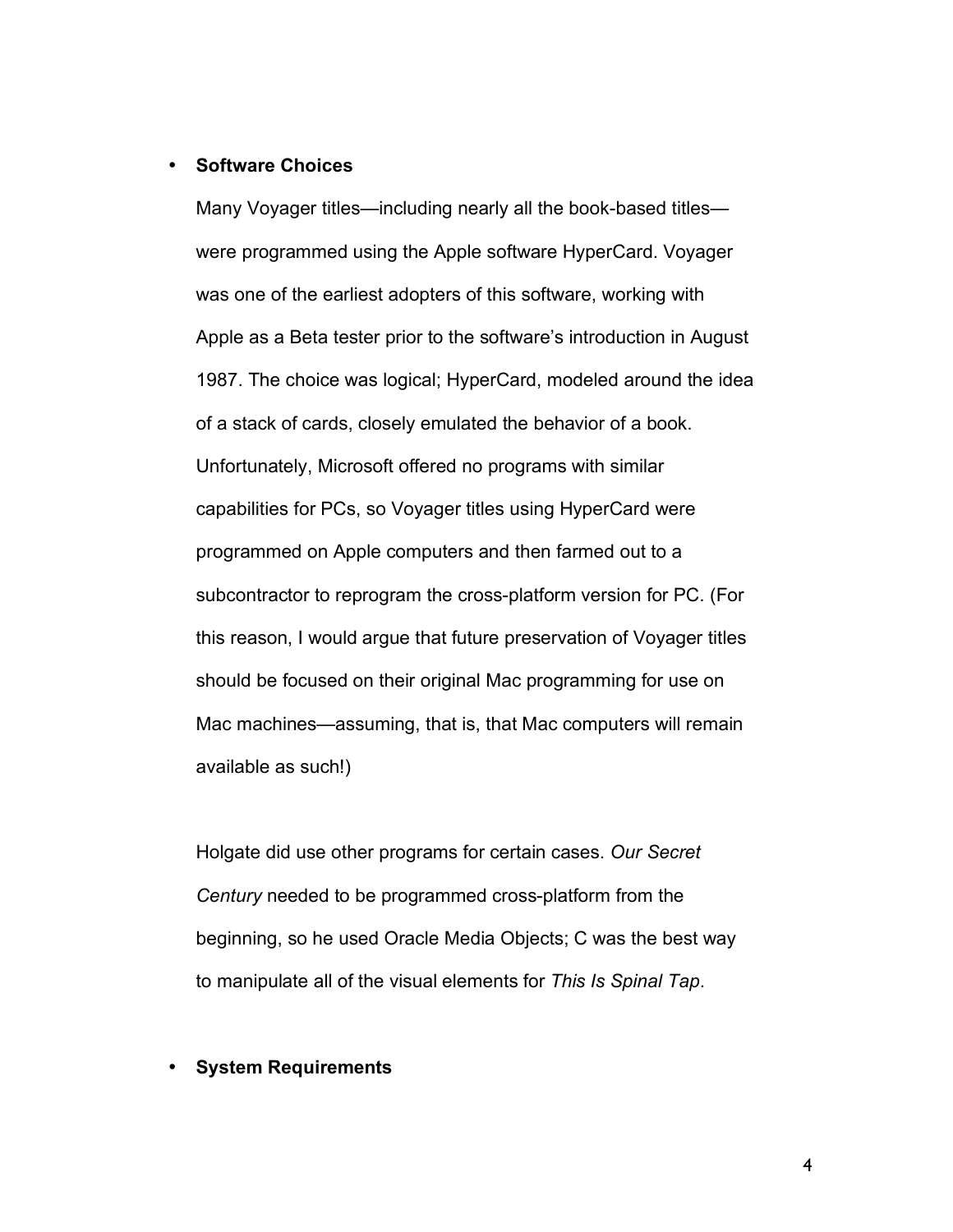### • **Software Choices**

Many Voyager titles—including nearly all the book-based titles were programmed using the Apple software HyperCard. Voyager was one of the earliest adopters of this software, working with Apple as a Beta tester prior to the software's introduction in August 1987. The choice was logical; HyperCard, modeled around the idea of a stack of cards, closely emulated the behavior of a book. Unfortunately, Microsoft offered no programs with similar capabilities for PCs, so Voyager titles using HyperCard were programmed on Apple computers and then farmed out to a subcontractor to reprogram the cross-platform version for PC. (For this reason, I would argue that future preservation of Voyager titles should be focused on their original Mac programming for use on Mac machines—assuming, that is, that Mac computers will remain available as such!)

Holgate did use other programs for certain cases. *Our Secret Century* needed to be programmed cross-platform from the beginning, so he used Oracle Media Objects; C was the best way to manipulate all of the visual elements for *This Is Spinal Tap*.

#### • **System Requirements**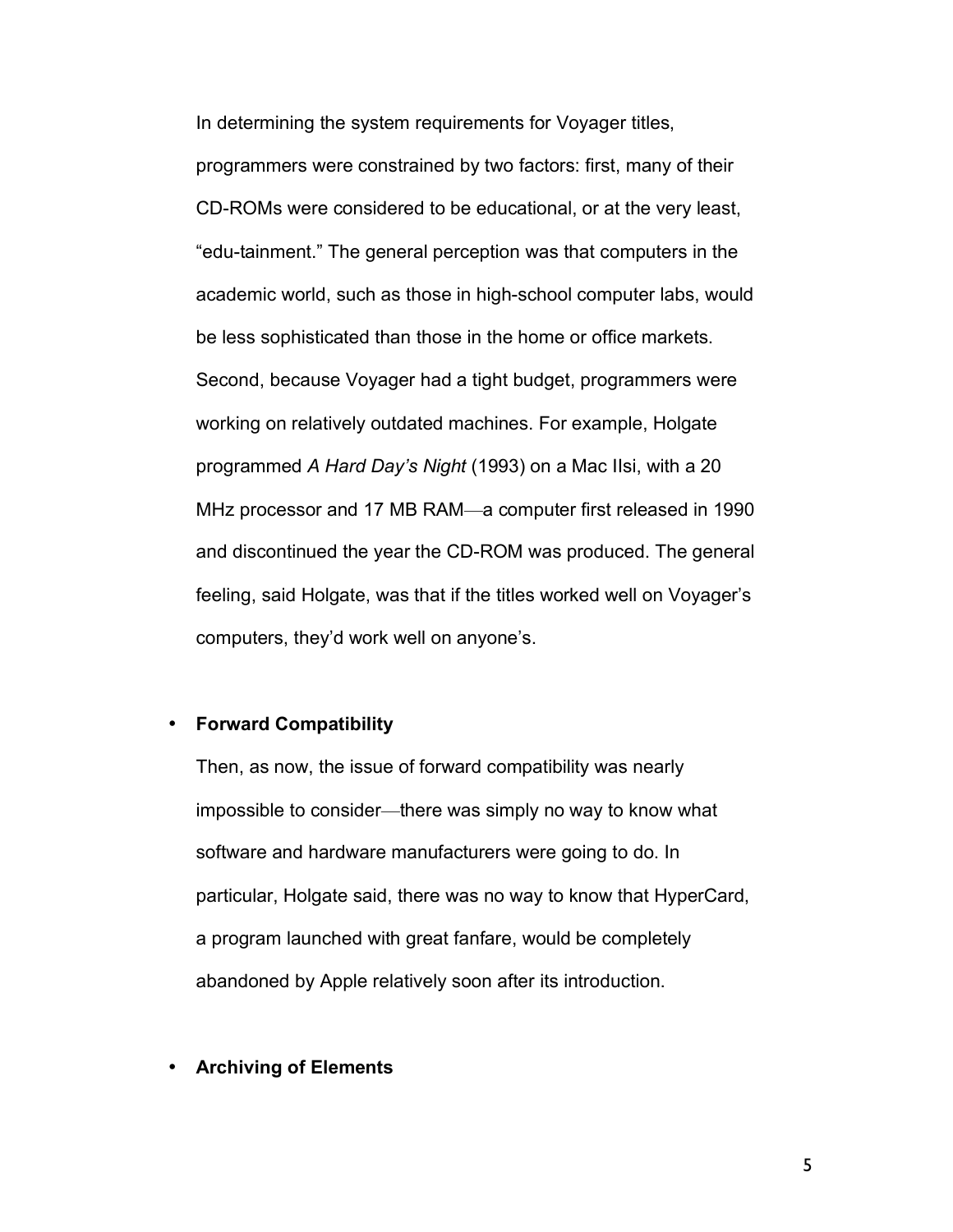In determining the system requirements for Voyager titles, programmers were constrained by two factors: first, many of their CD-ROMs were considered to be educational, or at the very least, "edu-tainment." The general perception was that computers in the academic world, such as those in high-school computer labs, would be less sophisticated than those in the home or office markets. Second, because Voyager had a tight budget, programmers were working on relatively outdated machines. For example, Holgate programmed *A Hard Day's Night* (1993) on a Mac IIsi, with a 20 MHz processor and 17 MB RAM—a computer first released in 1990 and discontinued the year the CD-ROM was produced. The general feeling, said Holgate, was that if the titles worked well on Voyager's computers, they'd work well on anyone's.

#### • **Forward Compatibility**

Then, as now, the issue of forward compatibility was nearly impossible to consider—there was simply no way to know what software and hardware manufacturers were going to do. In particular, Holgate said, there was no way to know that HyperCard, a program launched with great fanfare, would be completely abandoned by Apple relatively soon after its introduction.

### • **Archiving of Elements**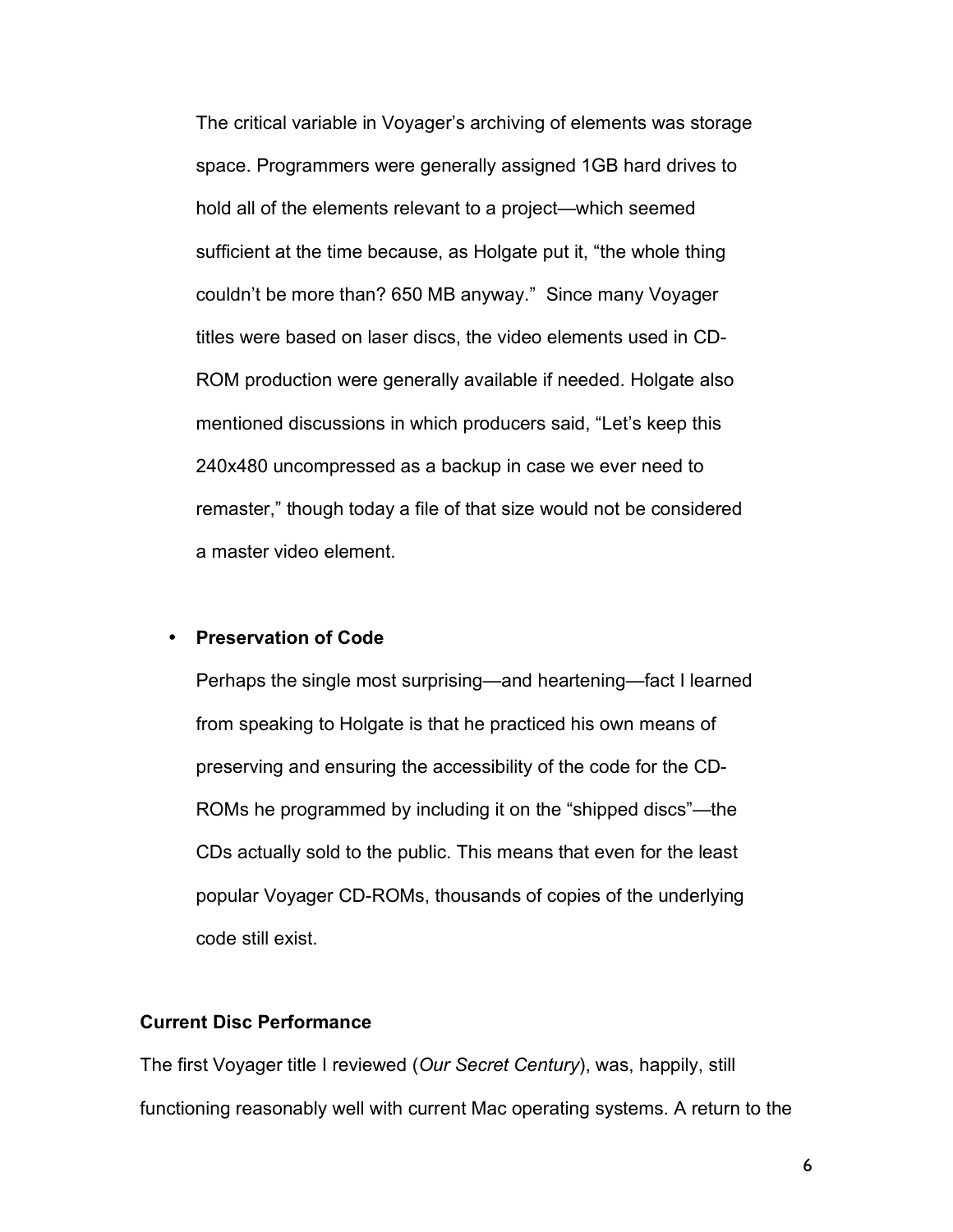The critical variable in Voyager's archiving of elements was storage space. Programmers were generally assigned 1GB hard drives to hold all of the elements relevant to a project—which seemed sufficient at the time because, as Holgate put it, "the whole thing couldn't be more than? 650 MB anyway." Since many Voyager titles were based on laser discs, the video elements used in CD-ROM production were generally available if needed. Holgate also mentioned discussions in which producers said, "Let's keep this 240x480 uncompressed as a backup in case we ever need to remaster," though today a file of that size would not be considered a master video element.

### • **Preservation of Code**

Perhaps the single most surprising—and heartening—fact I learned from speaking to Holgate is that he practiced his own means of preserving and ensuring the accessibility of the code for the CD-ROMs he programmed by including it on the "shipped discs"—the CDs actually sold to the public. This means that even for the least popular Voyager CD-ROMs, thousands of copies of the underlying code still exist.

## **Current Disc Performance**

The first Voyager title I reviewed (*Our Secret Century*), was, happily, still functioning reasonably well with current Mac operating systems. A return to the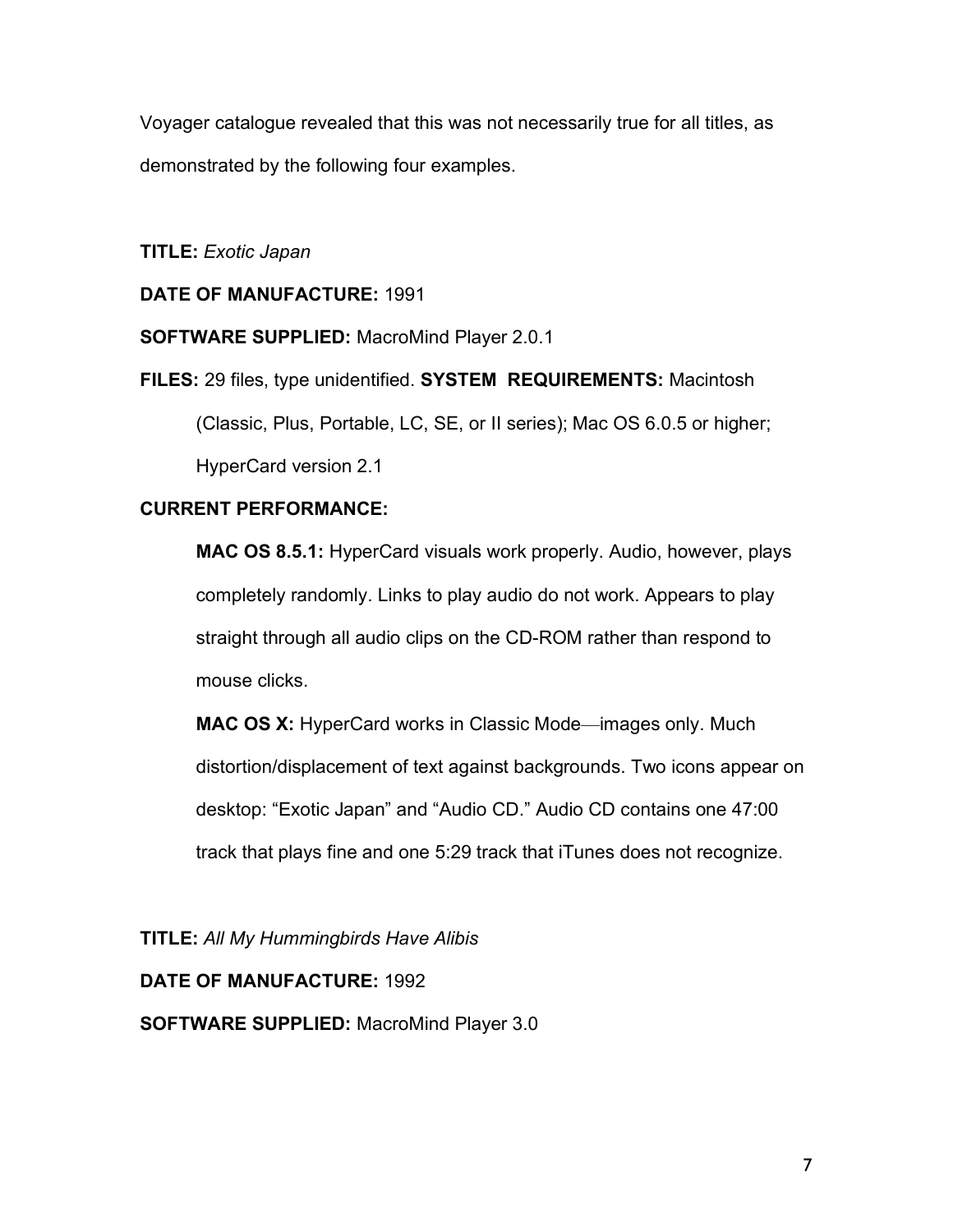Voyager catalogue revealed that this was not necessarily true for all titles, as demonstrated by the following four examples.

**TITLE:** *Exotic Japan*

# **DATE OF MANUFACTURE:** 1991

**SOFTWARE SUPPLIED:** MacroMind Player 2.0.1

**FILES:** 29 files, type unidentified. **SYSTEM REQUIREMENTS:** Macintosh

(Classic, Plus, Portable, LC, SE, or II series); Mac OS 6.0.5 or higher;

HyperCard version 2.1

# **CURRENT PERFORMANCE:**

**MAC OS 8.5.1:** HyperCard visuals work properly. Audio, however, plays completely randomly. Links to play audio do not work. Appears to play straight through all audio clips on the CD-ROM rather than respond to mouse clicks.

**MAC OS X:** HyperCard works in Classic Mode—images only. Much distortion/displacement of text against backgrounds. Two icons appear on desktop: "Exotic Japan" and "Audio CD." Audio CD contains one 47:00 track that plays fine and one 5:29 track that iTunes does not recognize.

**TITLE:** *All My Hummingbirds Have Alibis*

## **DATE OF MANUFACTURE:** 1992

**SOFTWARE SUPPLIED:** MacroMind Player 3.0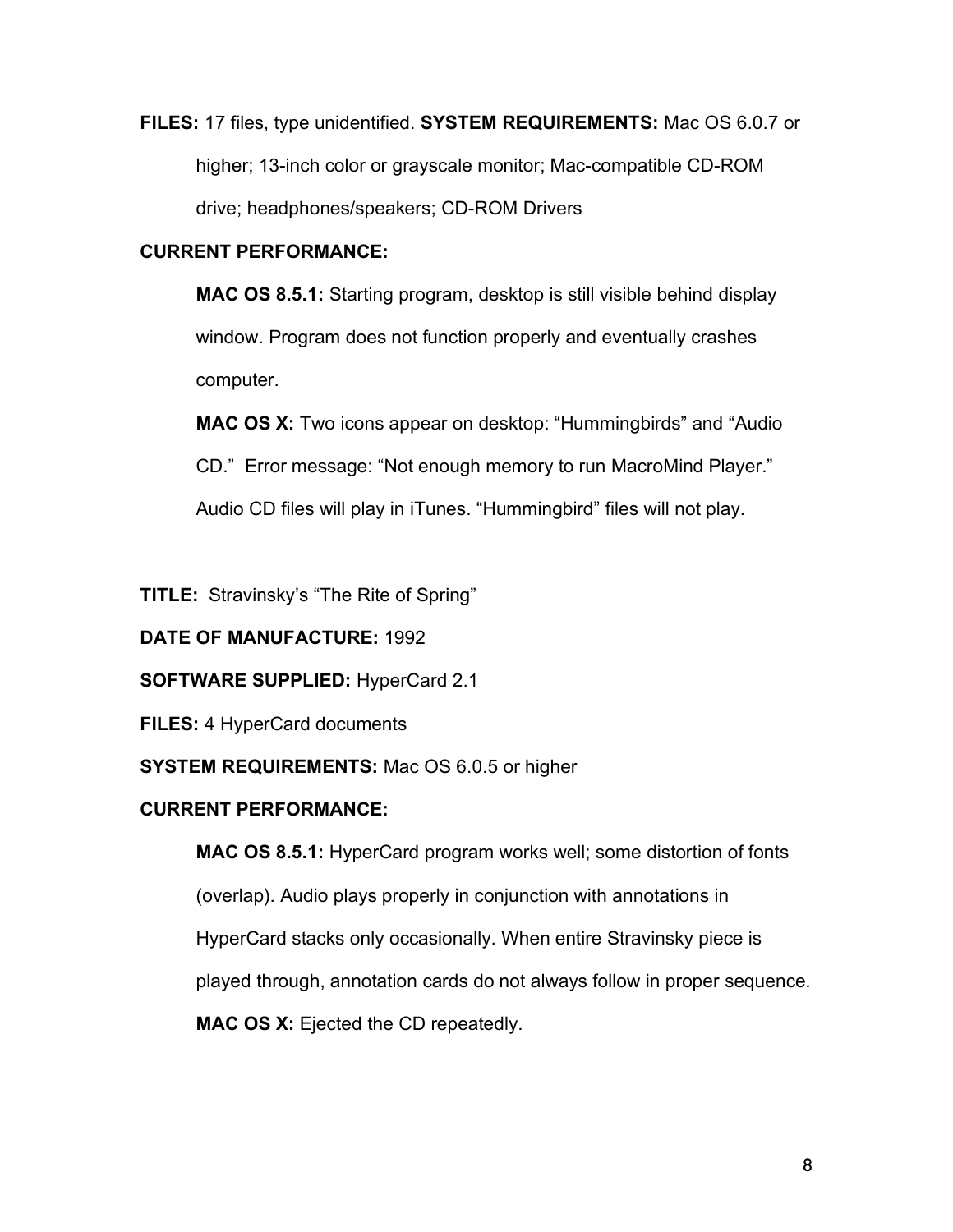**FILES:** 17 files, type unidentified. **SYSTEM REQUIREMENTS:** Mac OS 6.0.7 or higher; 13-inch color or grayscale monitor; Mac-compatible CD-ROM drive; headphones/speakers; CD-ROM Drivers

# **CURRENT PERFORMANCE:**

**MAC OS 8.5.1:** Starting program, desktop is still visible behind display window. Program does not function properly and eventually crashes computer.

**MAC OS X:** Two icons appear on desktop: "Hummingbirds" and "Audio

CD." Error message: "Not enough memory to run MacroMind Player."

Audio CD files will play in iTunes. "Hummingbird" files will not play.

**TITLE:** Stravinsky's "The Rite of Spring"

# **DATE OF MANUFACTURE:** 1992

# **SOFTWARE SUPPLIED:** HyperCard 2.1

**FILES:** 4 HyperCard documents

# **SYSTEM REQUIREMENTS:** Mac OS 6.0.5 or higher

# **CURRENT PERFORMANCE:**

**MAC OS 8.5.1:** HyperCard program works well; some distortion of fonts (overlap). Audio plays properly in conjunction with annotations in HyperCard stacks only occasionally. When entire Stravinsky piece is played through, annotation cards do not always follow in proper sequence. **MAC OS X:** Ejected the CD repeatedly.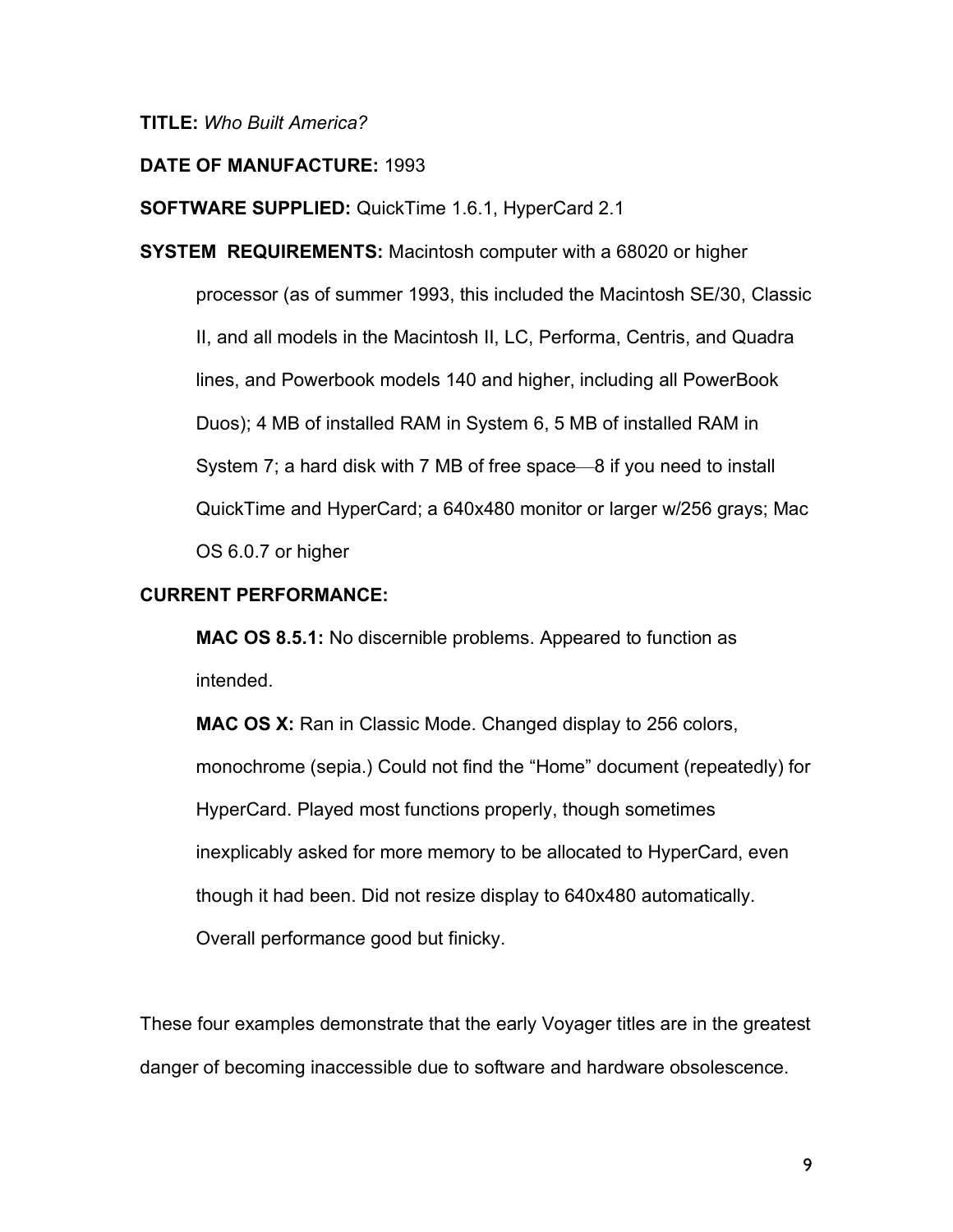**TITLE:** *Who Built America?*

## **DATE OF MANUFACTURE:** 1993

**SOFTWARE SUPPLIED:** QuickTime 1.6.1, HyperCard 2.1

**SYSTEM REQUIREMENTS:** Macintosh computer with a 68020 or higher processor (as of summer 1993, this included the Macintosh SE/30, Classic II, and all models in the Macintosh II, LC, Performa, Centris, and Quadra lines, and Powerbook models 140 and higher, including all PowerBook Duos); 4 MB of installed RAM in System 6, 5 MB of installed RAM in System 7; a hard disk with 7 MB of free space—8 if you need to install QuickTime and HyperCard; a 640x480 monitor or larger w/256 grays; Mac OS 6.0.7 or higher

## **CURRENT PERFORMANCE:**

**MAC OS 8.5.1:** No discernible problems. Appeared to function as intended.

**MAC OS X:** Ran in Classic Mode. Changed display to 256 colors, monochrome (sepia.) Could not find the "Home" document (repeatedly) for HyperCard. Played most functions properly, though sometimes inexplicably asked for more memory to be allocated to HyperCard, even though it had been. Did not resize display to 640x480 automatically. Overall performance good but finicky.

These four examples demonstrate that the early Voyager titles are in the greatest danger of becoming inaccessible due to software and hardware obsolescence.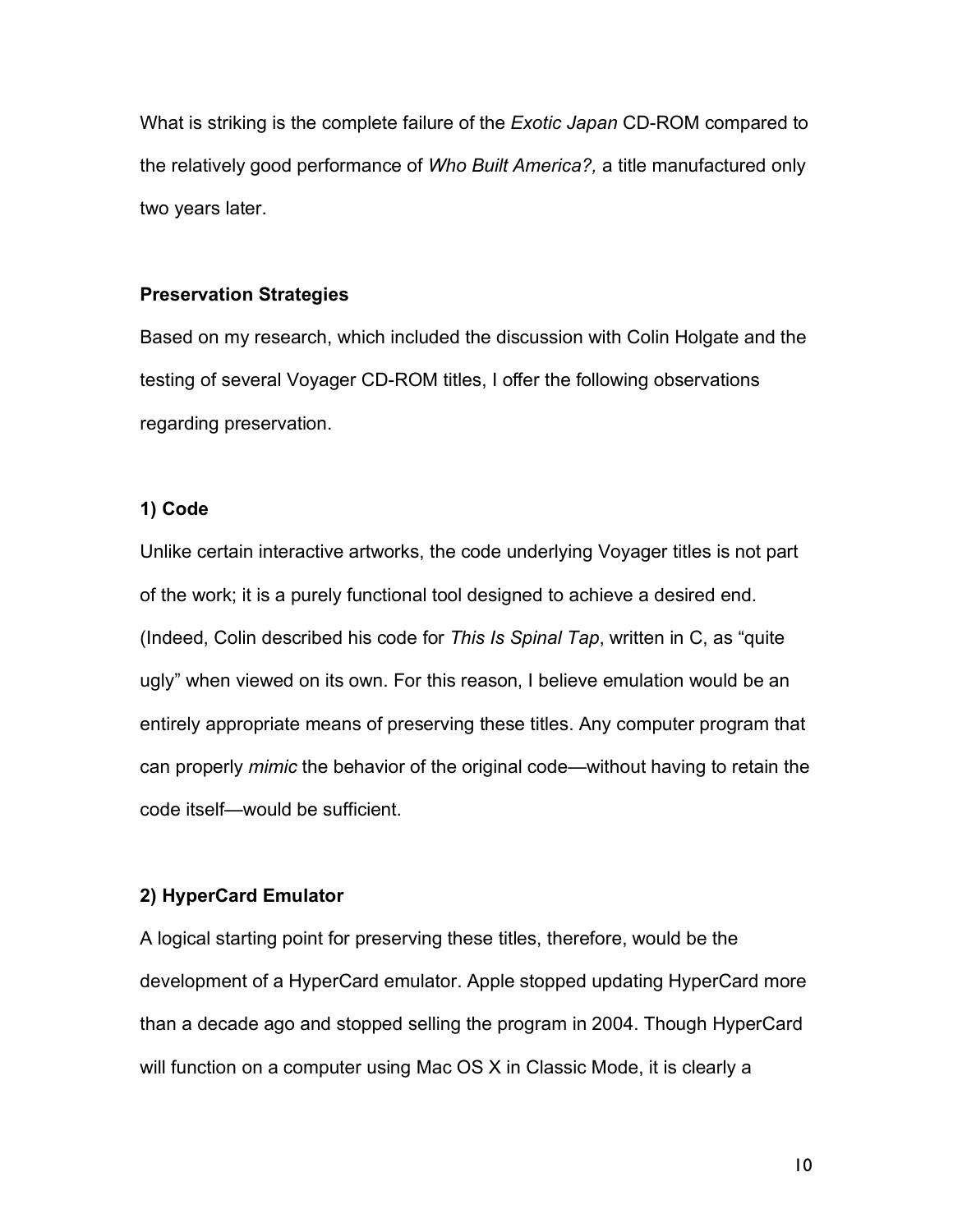What is striking is the complete failure of the *Exotic Japan* CD-ROM compared to the relatively good performance of *Who Built America?,* a title manufactured only two years later.

### **Preservation Strategies**

Based on my research, which included the discussion with Colin Holgate and the testing of several Voyager CD-ROM titles, I offer the following observations regarding preservation.

### **1) Code**

Unlike certain interactive artworks, the code underlying Voyager titles is not part of the work; it is a purely functional tool designed to achieve a desired end. (Indeed, Colin described his code for *This Is Spinal Tap*, written in C, as "quite ugly" when viewed on its own. For this reason, I believe emulation would be an entirely appropriate means of preserving these titles. Any computer program that can properly *mimic* the behavior of the original code—without having to retain the code itself—would be sufficient.

## **2) HyperCard Emulator**

A logical starting point for preserving these titles, therefore, would be the development of a HyperCard emulator. Apple stopped updating HyperCard more than a decade ago and stopped selling the program in 2004. Though HyperCard will function on a computer using Mac OS X in Classic Mode, it is clearly a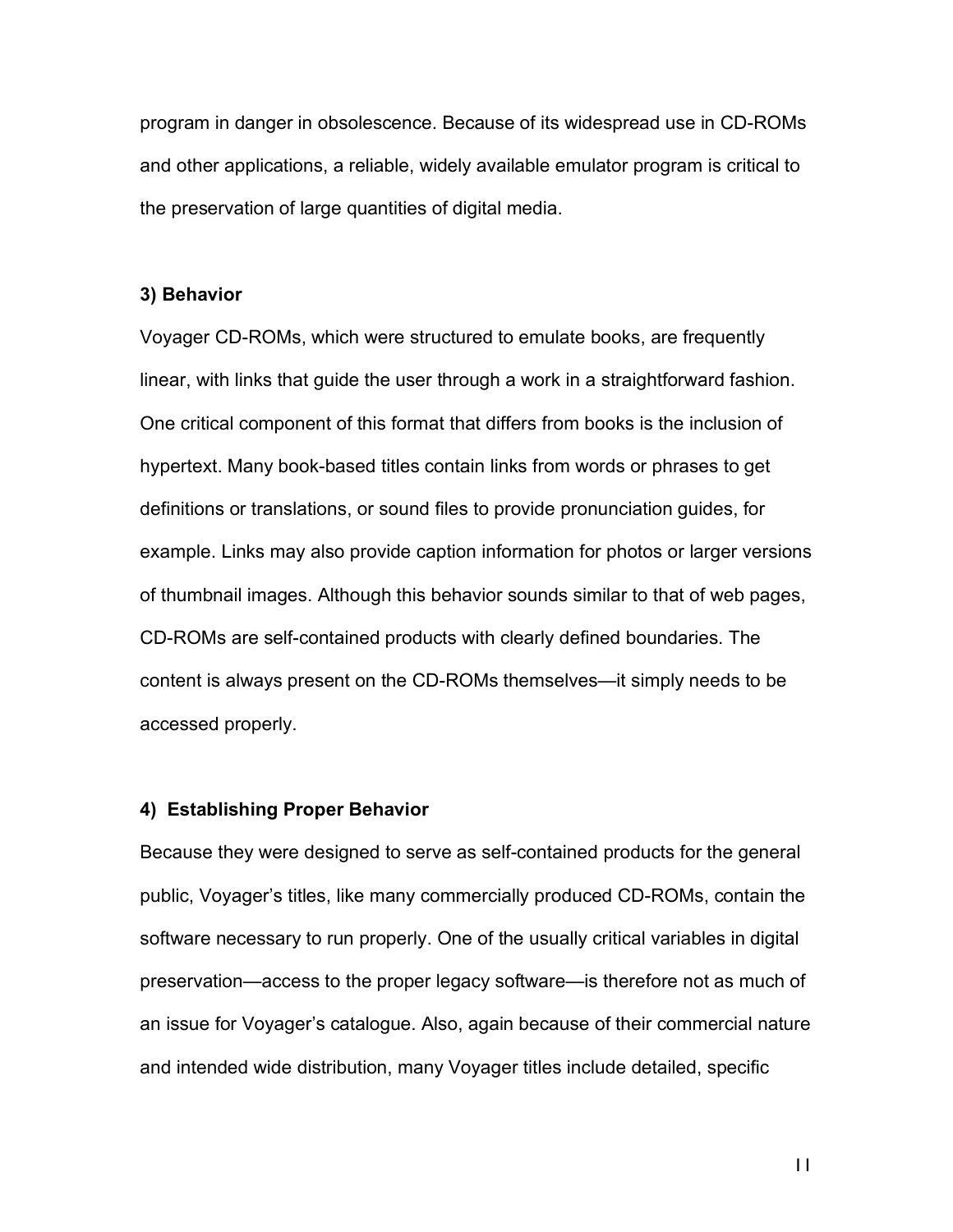program in danger in obsolescence. Because of its widespread use in CD-ROMs and other applications, a reliable, widely available emulator program is critical to the preservation of large quantities of digital media.

#### **3) Behavior**

Voyager CD-ROMs, which were structured to emulate books, are frequently linear, with links that guide the user through a work in a straightforward fashion. One critical component of this format that differs from books is the inclusion of hypertext. Many book-based titles contain links from words or phrases to get definitions or translations, or sound files to provide pronunciation guides, for example. Links may also provide caption information for photos or larger versions of thumbnail images. Although this behavior sounds similar to that of web pages, CD-ROMs are self-contained products with clearly defined boundaries. The content is always present on the CD-ROMs themselves—it simply needs to be accessed properly.

#### **4) Establishing Proper Behavior**

Because they were designed to serve as self-contained products for the general public, Voyager's titles, like many commercially produced CD-ROMs, contain the software necessary to run properly. One of the usually critical variables in digital preservation—access to the proper legacy software—is therefore not as much of an issue for Voyager's catalogue. Also, again because of their commercial nature and intended wide distribution, many Voyager titles include detailed, specific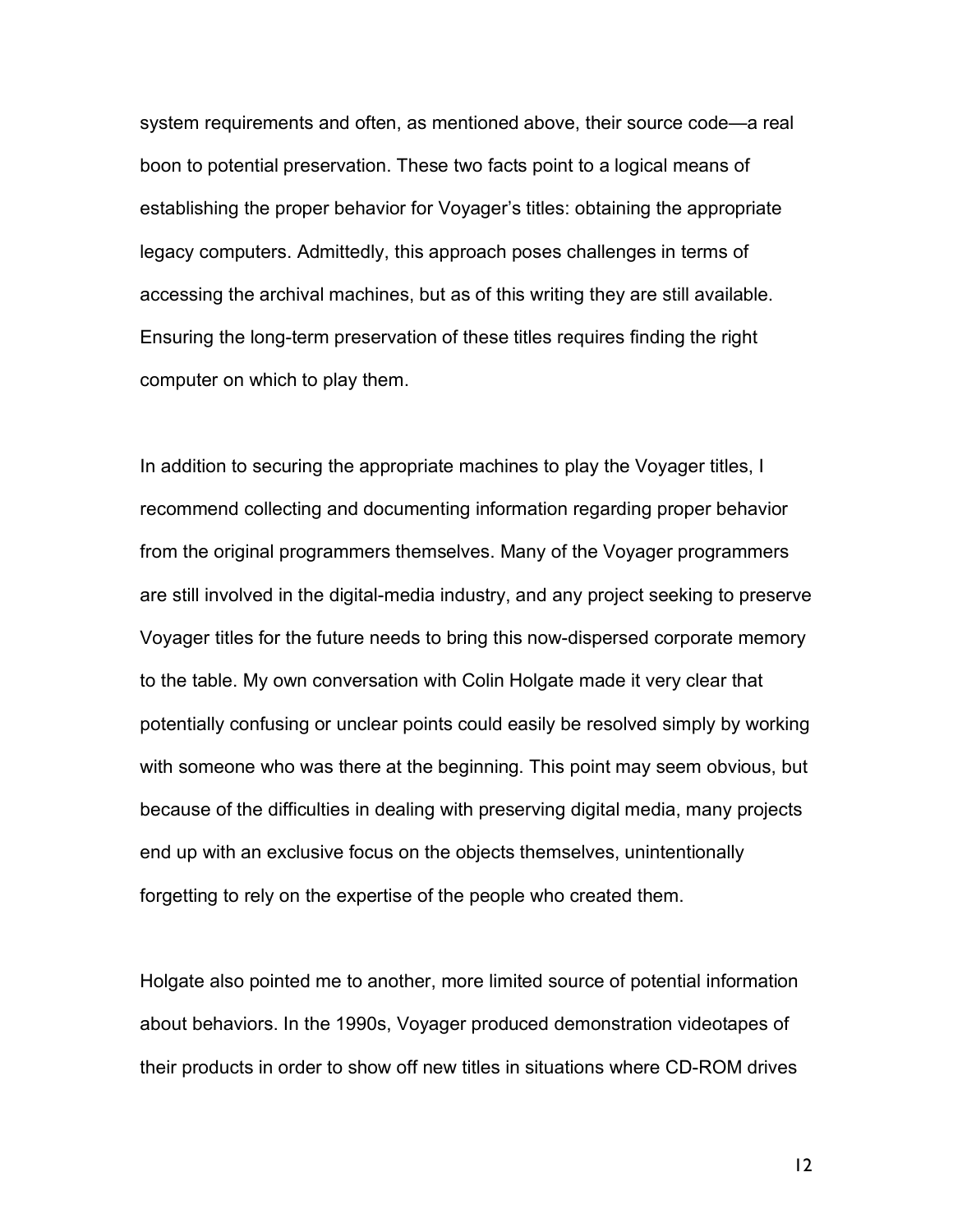system requirements and often, as mentioned above, their source code—a real boon to potential preservation. These two facts point to a logical means of establishing the proper behavior for Voyager's titles: obtaining the appropriate legacy computers. Admittedly, this approach poses challenges in terms of accessing the archival machines, but as of this writing they are still available. Ensuring the long-term preservation of these titles requires finding the right computer on which to play them.

In addition to securing the appropriate machines to play the Voyager titles, I recommend collecting and documenting information regarding proper behavior from the original programmers themselves. Many of the Voyager programmers are still involved in the digital-media industry, and any project seeking to preserve Voyager titles for the future needs to bring this now-dispersed corporate memory to the table. My own conversation with Colin Holgate made it very clear that potentially confusing or unclear points could easily be resolved simply by working with someone who was there at the beginning. This point may seem obvious, but because of the difficulties in dealing with preserving digital media, many projects end up with an exclusive focus on the objects themselves, unintentionally forgetting to rely on the expertise of the people who created them.

Holgate also pointed me to another, more limited source of potential information about behaviors. In the 1990s, Voyager produced demonstration videotapes of their products in order to show off new titles in situations where CD-ROM drives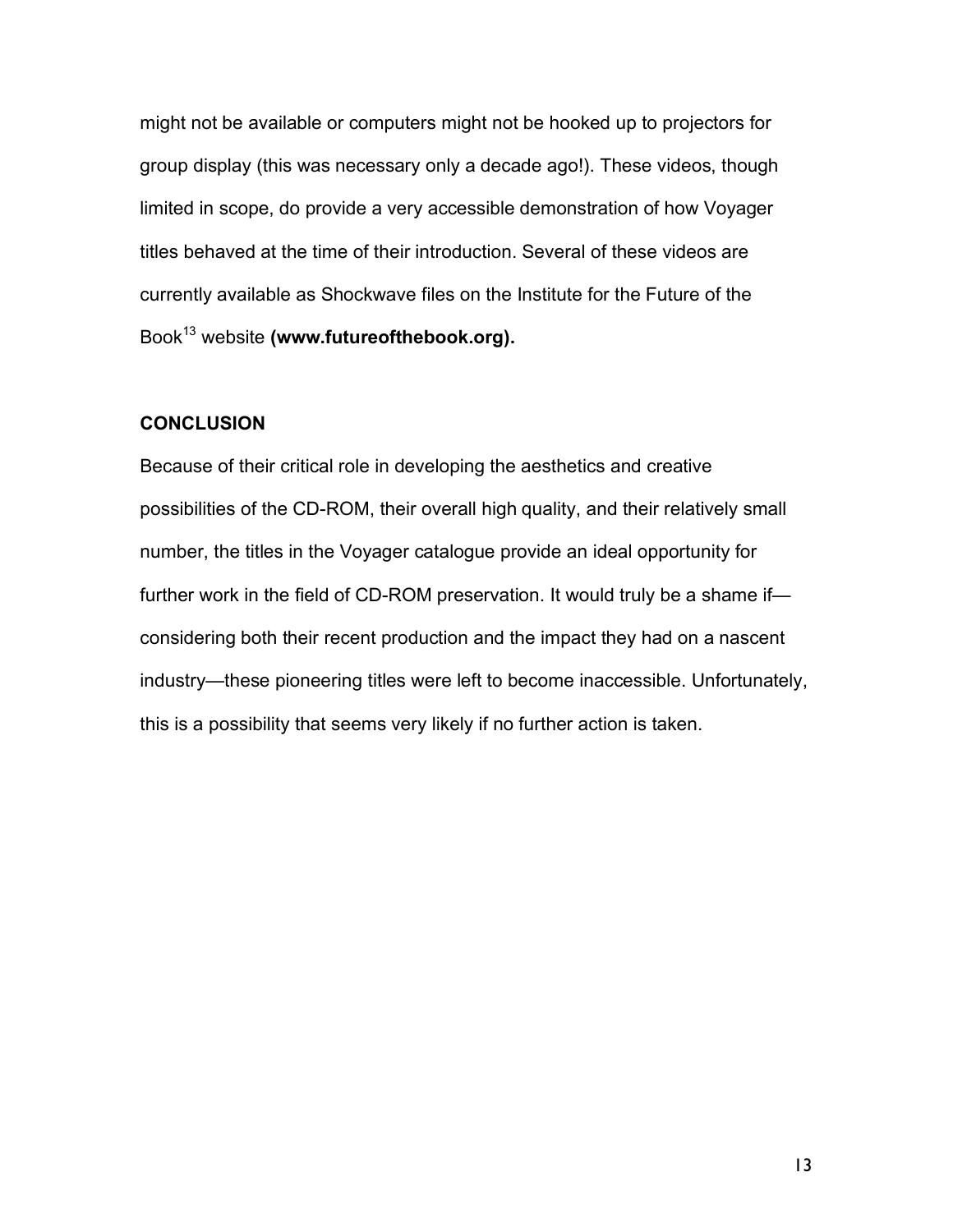might not be available or computers might not be hooked up to projectors for group display (this was necessary only a decade ago!). These videos, though limited in scope, do provide a very accessible demonstration of how Voyager titles behaved at the time of their introduction. Several of these videos are currently available as Shockwave files on the Institute for the Future of the Book13 website **(www.futureofthebook.org).**

## **CONCLUSION**

Because of their critical role in developing the aesthetics and creative possibilities of the CD-ROM, their overall high quality, and their relatively small number, the titles in the Voyager catalogue provide an ideal opportunity for further work in the field of CD-ROM preservation. It would truly be a shame if considering both their recent production and the impact they had on a nascent industry—these pioneering titles were left to become inaccessible. Unfortunately, this is a possibility that seems very likely if no further action is taken.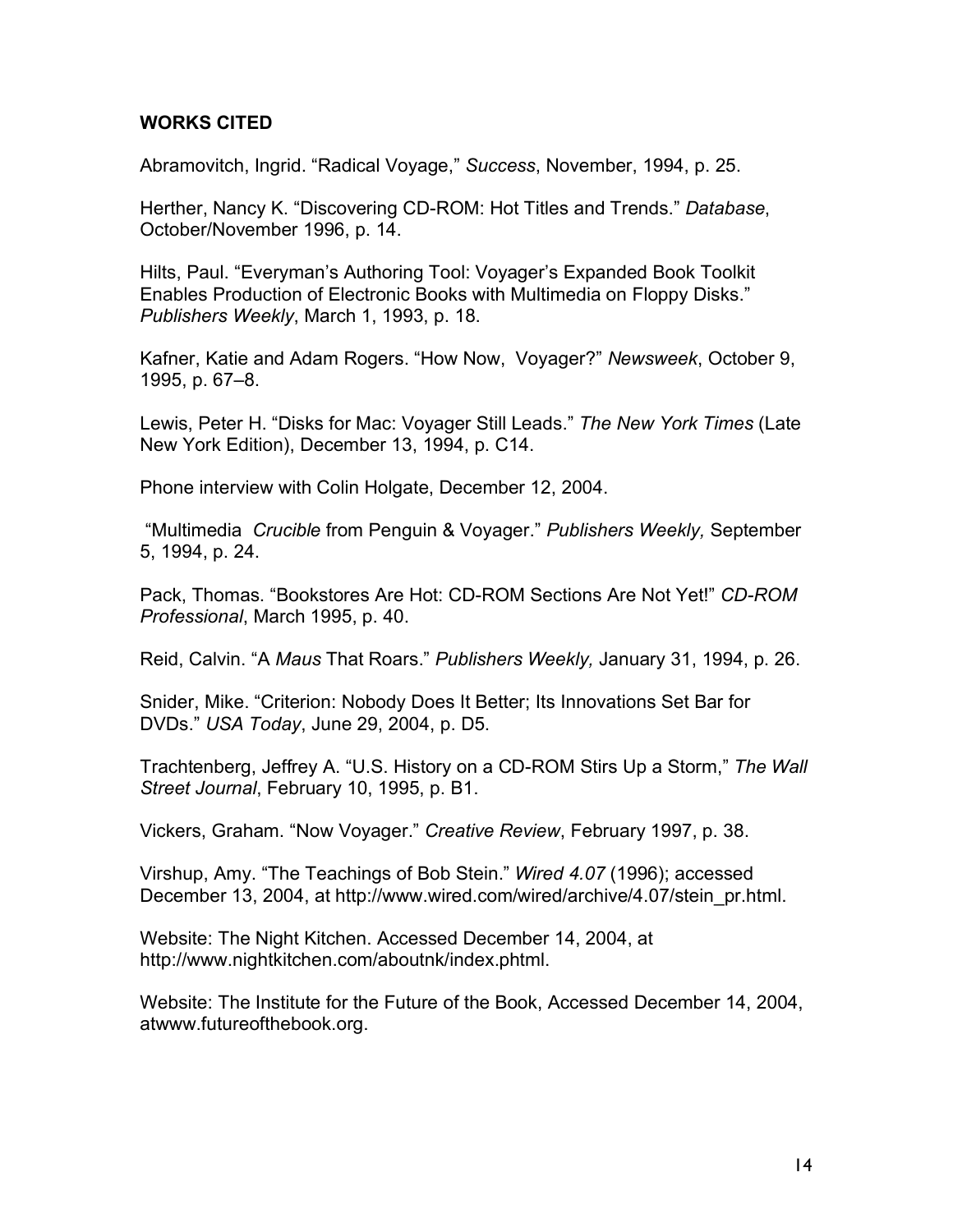# **WORKS CITED**

Abramovitch, Ingrid. "Radical Voyage," *Success*, November, 1994, p. 25.

Herther, Nancy K. "Discovering CD-ROM: Hot Titles and Trends." *Database*, October/November 1996, p. 14.

Hilts, Paul. "Everyman's Authoring Tool: Voyager's Expanded Book Toolkit Enables Production of Electronic Books with Multimedia on Floppy Disks." *Publishers Weekly*, March 1, 1993, p. 18.

Kafner, Katie and Adam Rogers. "How Now, Voyager?" *Newsweek*, October 9, 1995, p. 67–8.

Lewis, Peter H. "Disks for Mac: Voyager Still Leads." *The New York Times* (Late New York Edition), December 13, 1994, p. C14.

Phone interview with Colin Holgate, December 12, 2004.

"Multimedia *Crucible* from Penguin & Voyager." *Publishers Weekly,* September 5, 1994, p. 24.

Pack, Thomas. "Bookstores Are Hot: CD-ROM Sections Are Not Yet!" *CD-ROM Professional*, March 1995, p. 40.

Reid, Calvin. "A *Maus* That Roars." *Publishers Weekly,* January 31, 1994, p. 26.

Snider, Mike. "Criterion: Nobody Does It Better; Its Innovations Set Bar for DVDs." *USA Today*, June 29, 2004, p. D5.

Trachtenberg, Jeffrey A. "U.S. History on a CD-ROM Stirs Up a Storm," *The Wall Street Journal*, February 10, 1995, p. B1.

Vickers, Graham. "Now Voyager." *Creative Review*, February 1997, p. 38.

Virshup, Amy. "The Teachings of Bob Stein." *Wired 4.07* (1996); accessed December 13, 2004, at http://www.wired.com/wired/archive/4.07/stein\_pr.html.

Website: The Night Kitchen. Accessed December 14, 2004, at http://www.nightkitchen.com/aboutnk/index.phtml.

Website: The Institute for the Future of the Book, Accessed December 14, 2004, atwww.futureofthebook.org.